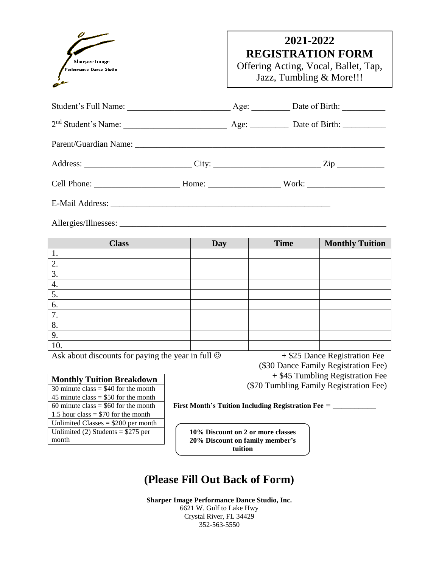

# **2021-2022 REGISTRATION FORM**

Offering Acting, Vocal, Ballet, Tap, Jazz, Tumbling & More!!!

|  | Date of Birth: |
|--|----------------|
|  |                |
|  |                |
|  |                |
|  |                |

E-Mail Address: \_\_\_\_\_\_\_\_\_\_\_\_\_\_\_\_\_\_\_\_\_\_\_\_\_\_\_\_\_\_\_\_\_\_\_\_\_\_\_\_\_\_\_\_\_\_\_\_\_\_\_

Allergies/Illnesses: \_\_\_\_\_\_\_\_\_\_\_\_\_\_\_\_\_\_\_\_\_\_\_\_\_\_\_\_\_\_\_\_\_\_\_\_\_\_\_\_\_\_\_\_\_\_\_\_\_\_\_\_\_\_\_\_\_\_\_\_\_\_

| <b>Class</b> | Day | <b>Time</b> | <b>Monthly Tuition</b> |
|--------------|-----|-------------|------------------------|
| ι.           |     |             |                        |
| 2.           |     |             |                        |
| 3.           |     |             |                        |
| 4.           |     |             |                        |
| 5.           |     |             |                        |
| 6.           |     |             |                        |
| 7.           |     |             |                        |
| 8.           |     |             |                        |
| 9.           |     |             |                        |
| 10.          |     |             |                        |

Ask about discounts for paying the year in full  $\circledcirc$  + \$25 Dance Registration Fee

 (\$30 Dance Family Registration Fee) + \$45 Tumbling Registration Fee (\$70 Tumbling Family Registration Fee)

| <b>Monthly Tuition Breakdown</b>       |
|----------------------------------------|
| 30 minute class $= $40$ for the month  |
| 45 minute class $=$ \$50 for the month |
| 60 minute class $=$ \$60 for the month |
| 1.5 hour class = $$70$ for the month   |
| Unlimited Classes = $$200$ per month   |
| Unlimited (2) Students = $$275$ per    |
| month                                  |

**First Month's Tuition Including Registration Fee** = \_\_\_\_\_\_\_\_\_\_

**10% Discount on 2 or more classes 20% Discount on family member's tuition**

## **(Please Fill Out Back of Form)**

**Sharper Image Performance Dance Studio, Inc.** 6621 W. Gulf to Lake Hwy Crystal River, FL 34429 352-563-5550